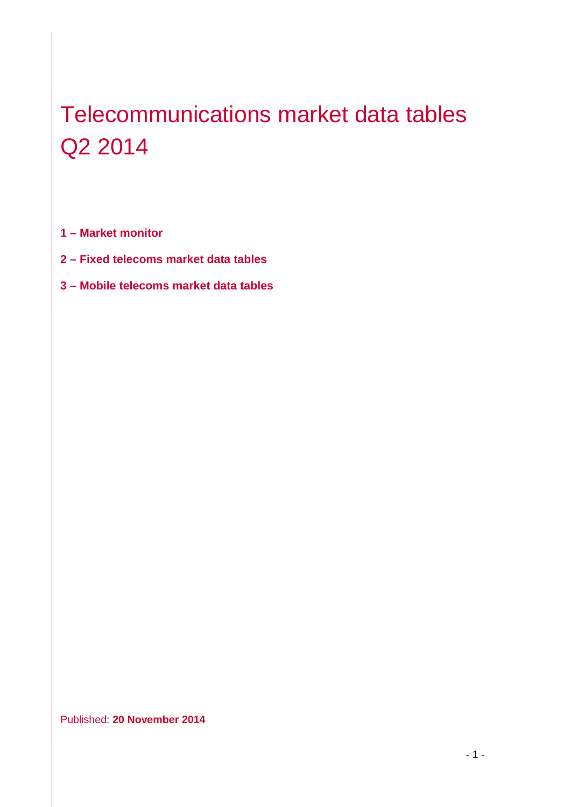# Telecommunications market data tables Q2 2014

**1 – Market monitor**

- **2 – Fixed telecoms market data tables**
- **3 – Mobile telecoms market data tables**

Published: **20 November 2014**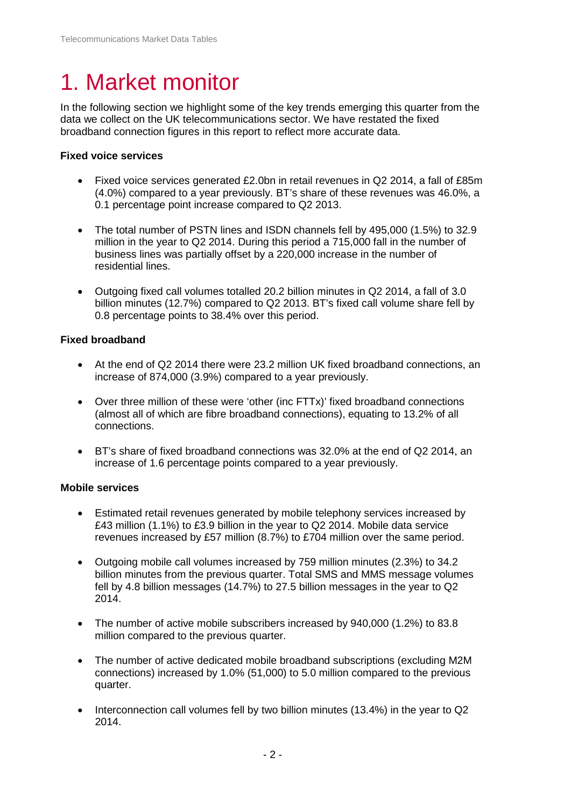# 1. Market monitor

In the following section we highlight some of the key trends emerging this quarter from the data we collect on the UK telecommunications sector. We have restated the fixed broadband connection figures in this report to reflect more accurate data.

#### **Fixed voice services**

- Fixed voice services generated £2.0bn in retail revenues in Q2 2014, a fall of £85m (4.0%) compared to a year previously. BT's share of these revenues was 46.0%, a 0.1 percentage point increase compared to Q2 2013.
- The total number of PSTN lines and ISDN channels fell by 495,000 (1.5%) to 32.9 million in the year to Q2 2014. During this period a 715,000 fall in the number of business lines was partially offset by a 220,000 increase in the number of residential lines.
- Outgoing fixed call volumes totalled 20.2 billion minutes in Q2 2014, a fall of 3.0 billion minutes (12.7%) compared to Q2 2013. BT's fixed call volume share fell by 0.8 percentage points to 38.4% over this period.

#### **Fixed broadband**

- At the end of Q2 2014 there were 23.2 million UK fixed broadband connections, an increase of 874,000 (3.9%) compared to a year previously.
- Over three million of these were 'other (inc FTTx)' fixed broadband connections (almost all of which are fibre broadband connections), equating to 13.2% of all connections.
- BT's share of fixed broadband connections was 32.0% at the end of Q2 2014, an increase of 1.6 percentage points compared to a year previously.

#### **Mobile services**

- Estimated retail revenues generated by mobile telephony services increased by £43 million (1.1%) to £3.9 billion in the year to Q2 2014. Mobile data service revenues increased by £57 million (8.7%) to £704 million over the same period.
- Outgoing mobile call volumes increased by 759 million minutes (2.3%) to 34.2 billion minutes from the previous quarter. Total SMS and MMS message volumes fell by 4.8 billion messages (14.7%) to 27.5 billion messages in the year to Q2 2014.
- The number of active mobile subscribers increased by 940,000 (1.2%) to 83.8 million compared to the previous quarter.
- The number of active dedicated mobile broadband subscriptions (excluding M2M connections) increased by 1.0% (51,000) to 5.0 million compared to the previous quarter.
- Interconnection call volumes fell by two billion minutes (13.4%) in the year to Q2 2014.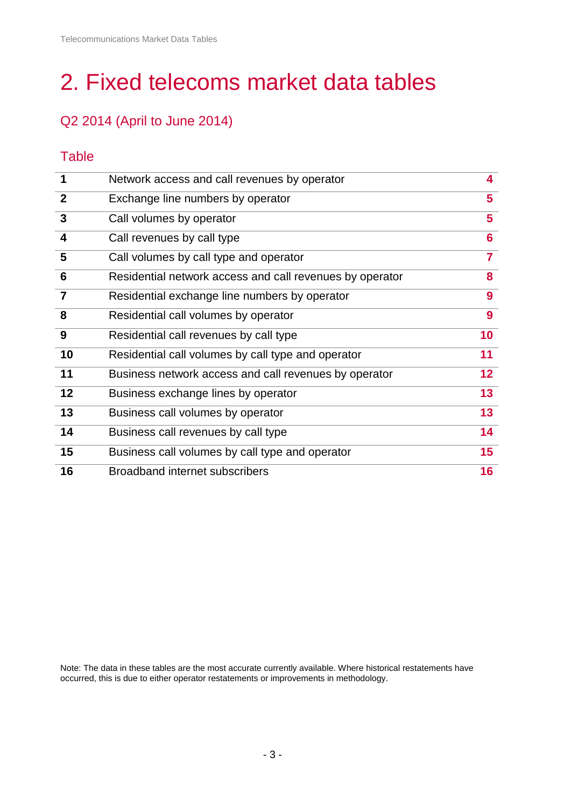# 2. Fixed telecoms market data tables

# Q2 2014 (April to June 2014)

# **Table**

| $\mathbf 1$             | Network access and call revenues by operator             | $\overline{\mathbf{4}}$ |
|-------------------------|----------------------------------------------------------|-------------------------|
| $\overline{2}$          | Exchange line numbers by operator                        | 5                       |
| $\mathbf{3}$            | Call volumes by operator                                 | 5                       |
| $\overline{\mathbf{4}}$ | Call revenues by call type                               | 6                       |
| 5                       | Call volumes by call type and operator                   | $\overline{7}$          |
| $6\phantom{1}6$         | Residential network access and call revenues by operator | 8                       |
| $\overline{7}$          | Residential exchange line numbers by operator            | $\boldsymbol{9}$        |
| 8                       | Residential call volumes by operator                     | 9                       |
| 9                       | Residential call revenues by call type                   | 10                      |
| 10                      | Residential call volumes by call type and operator       | 11                      |
| 11                      | Business network access and call revenues by operator    | 12 <sub>2</sub>         |
| 12                      | Business exchange lines by operator                      | 13                      |
| 13                      | Business call volumes by operator                        | 13                      |
| 14                      | Business call revenues by call type                      | 14                      |
| 15                      | Business call volumes by call type and operator          | 15                      |
| 16                      | Broadband internet subscribers                           | 16                      |

Note: The data in these tables are the most accurate currently available. Where historical restatements have occurred, this is due to either operator restatements or improvements in methodology.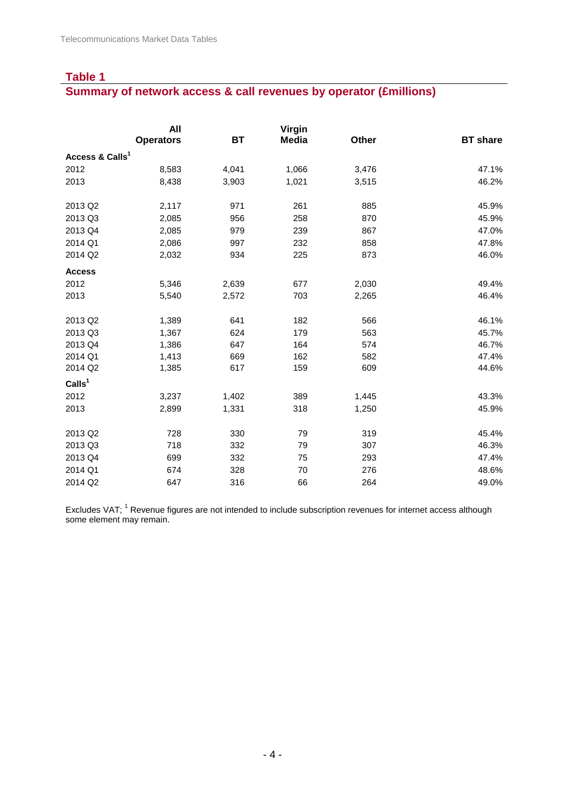#### **Summary of network access & call revenues by operator (£millions)**

|                             | All              |           | Virgin       |       |                 |
|-----------------------------|------------------|-----------|--------------|-------|-----------------|
|                             | <b>Operators</b> | <b>BT</b> | <b>Media</b> | Other | <b>BT</b> share |
| Access & Calls <sup>1</sup> |                  |           |              |       |                 |
| 2012                        | 8,583            | 4,041     | 1,066        | 3,476 | 47.1%           |
| 2013                        | 8,438            | 3,903     | 1,021        | 3,515 | 46.2%           |
| 2013 Q2                     | 2,117            | 971       | 261          | 885   | 45.9%           |
| 2013 Q3                     | 2,085            | 956       | 258          | 870   | 45.9%           |
| 2013 Q4                     | 2,085            | 979       | 239          | 867   | 47.0%           |
| 2014 Q1                     | 2,086            | 997       | 232          | 858   | 47.8%           |
| 2014 Q2                     | 2,032            | 934       | 225          | 873   | 46.0%           |
| <b>Access</b>               |                  |           |              |       |                 |
| 2012                        | 5,346            | 2,639     | 677          | 2,030 | 49.4%           |
| 2013                        | 5,540            | 2,572     | 703          | 2,265 | 46.4%           |
| 2013 Q2                     | 1,389            | 641       | 182          | 566   | 46.1%           |
| 2013 Q3                     | 1,367            | 624       | 179          | 563   | 45.7%           |
| 2013 Q4                     | 1,386            | 647       | 164          | 574   | 46.7%           |
| 2014 Q1                     | 1,413            | 669       | 162          | 582   | 47.4%           |
| 2014 Q2                     | 1,385            | 617       | 159          | 609   | 44.6%           |
| CalIs <sup>1</sup>          |                  |           |              |       |                 |
| 2012                        | 3,237            | 1,402     | 389          | 1,445 | 43.3%           |
| 2013                        | 2,899            | 1,331     | 318          | 1,250 | 45.9%           |
| 2013 Q2                     | 728              | 330       | 79           | 319   | 45.4%           |
| 2013 Q3                     | 718              | 332       | 79           | 307   | 46.3%           |
| 2013 Q4                     | 699              | 332       | 75           | 293   | 47.4%           |
| 2014 Q1                     | 674              | 328       | 70           | 276   | 48.6%           |
| 2014 Q2                     | 647              | 316       | 66           | 264   | 49.0%           |

Excludes VAT; <sup>1</sup> Revenue figures are not intended to include subscription revenues for internet access although some element may remain.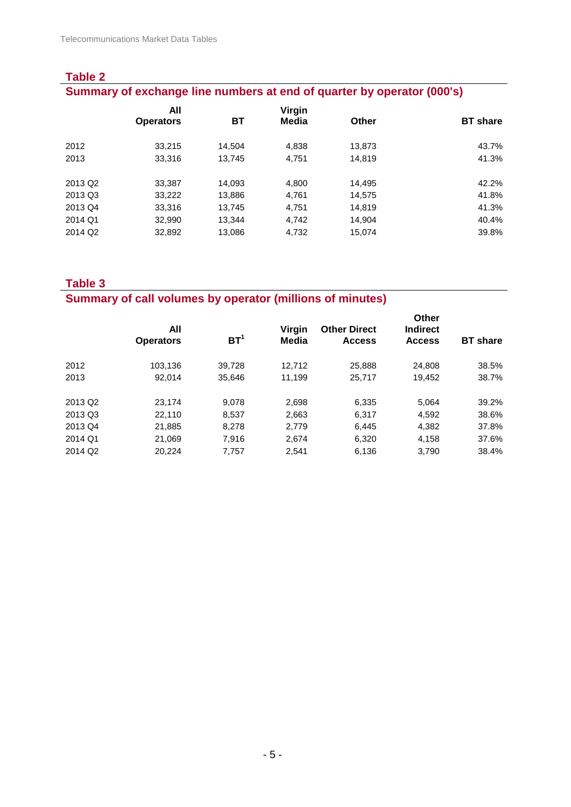| <b>Table 2</b>                                                         |                         |        |                 |        |                 |  |  |  |
|------------------------------------------------------------------------|-------------------------|--------|-----------------|--------|-----------------|--|--|--|
| Summary of exchange line numbers at end of quarter by operator (000's) |                         |        |                 |        |                 |  |  |  |
|                                                                        | All<br><b>Operators</b> | ВT     | Virgin<br>Media | Other  | <b>BT</b> share |  |  |  |
| 2012                                                                   | 33.215                  | 14.504 | 4.838           | 13.873 | 43.7%           |  |  |  |
| 2013                                                                   | 33,316                  | 13.745 | 4.751           | 14.819 | 41.3%           |  |  |  |
| 2013 Q <sub>2</sub>                                                    | 33.387                  | 14.093 | 4.800           | 14.495 | 42.2%           |  |  |  |
| 2013 Q3                                                                | 33,222                  | 13,886 | 4.761           | 14.575 | 41.8%           |  |  |  |
| 2013 Q4                                                                | 33,316                  | 13.745 | 4.751           | 14.819 | 41.3%           |  |  |  |
| 2014 Q1                                                                | 32,990                  | 13,344 | 4,742           | 14.904 | 40.4%           |  |  |  |
| 2014 Q <sub>2</sub>                                                    | 32,892                  | 13.086 | 4,732           | 15.074 | 39.8%           |  |  |  |

# **Summary of call volumes by operator (millions of minutes)**

|                     | All<br><b>Operators</b> | BT <sup>1</sup> | Virgin<br>Media | <b>Other Direct</b><br><b>Access</b> | <b>Other</b><br><b>Indirect</b><br><b>Access</b> | <b>BT</b> share |
|---------------------|-------------------------|-----------------|-----------------|--------------------------------------|--------------------------------------------------|-----------------|
| 2012                | 103.136                 | 39,728          | 12.712          | 25,888                               | 24,808                                           | 38.5%           |
| 2013                | 92.014                  | 35.646          | 11,199          | 25,717                               | 19.452                                           | 38.7%           |
| 2013 Q <sub>2</sub> | 23.174                  | 9.078           | 2,698           | 6,335                                | 5.064                                            | 39.2%           |
| 2013 Q3             | 22.110                  | 8.537           | 2,663           | 6,317                                | 4,592                                            | 38.6%           |
| 2013 Q4             | 21,885                  | 8.278           | 2.779           | 6,445                                | 4,382                                            | 37.8%           |
| 2014 Q1             | 21.069                  | 7.916           | 2.674           | 6,320                                | 4,158                                            | 37.6%           |
| 2014 Q <sub>2</sub> | 20,224                  | 7,757           | 2,541           | 6,136                                | 3,790                                            | 38.4%           |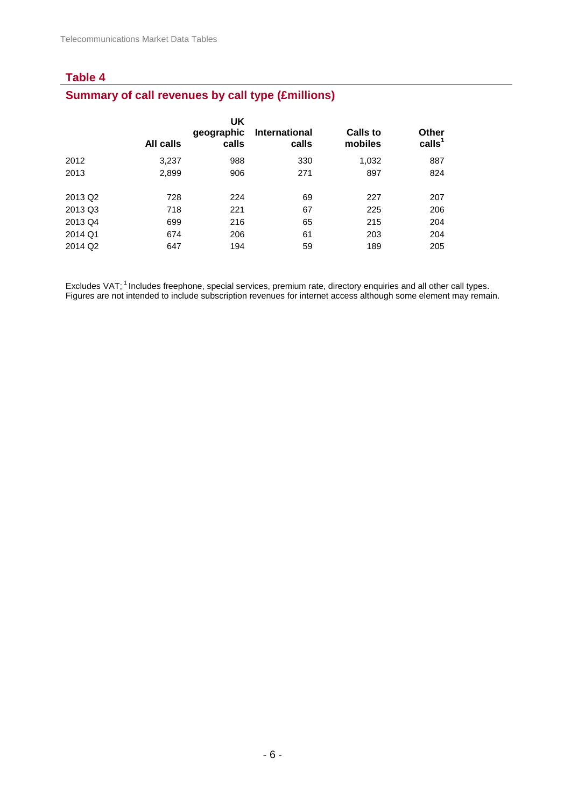# **Summary of call revenues by call type (£millions)**

|                     | All calls | UK<br>geographic<br>calls | International<br>calls | <b>Calls to</b><br>mobiles | <b>Other</b><br>calls <sup>1</sup> |
|---------------------|-----------|---------------------------|------------------------|----------------------------|------------------------------------|
| 2012                | 3,237     | 988                       | 330                    | 1,032                      | 887                                |
| 2013                | 2,899     | 906                       | 271                    | 897                        | 824                                |
|                     |           |                           |                        |                            |                                    |
| 2013 Q <sub>2</sub> | 728       | 224                       | 69                     | 227                        | 207                                |
| 2013 Q3             | 718       | 221                       | 67                     | 225                        | 206                                |
| 2013 Q4             | 699       | 216                       | 65                     | 215                        | 204                                |
| 2014 Q1             | 674       | 206                       | 61                     | 203                        | 204                                |
| 2014 Q <sub>2</sub> | 647       | 194                       | 59                     | 189                        | 205                                |
|                     |           |                           |                        |                            |                                    |

Excludes VAT; <sup>1</sup> Includes freephone, special services, premium rate, directory enquiries and all other call types. Figures are not intended to include subscription revenues for internet access although some element may remain.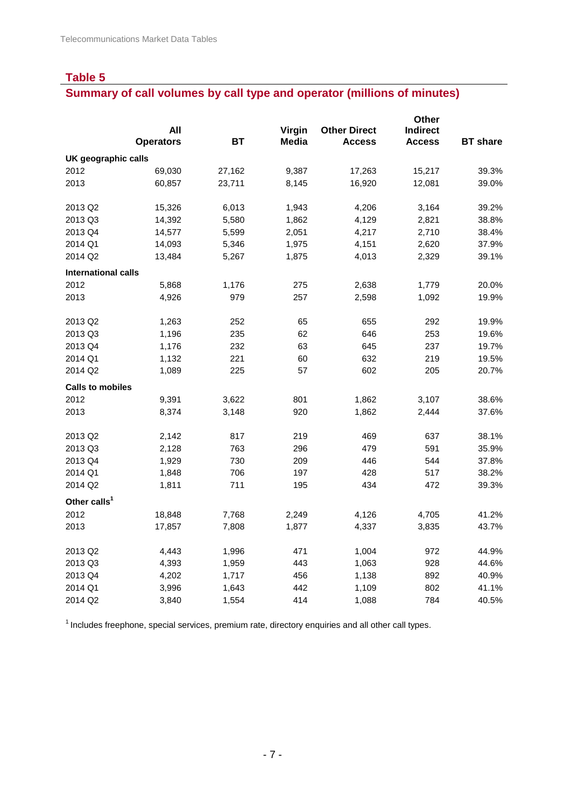# **Summary of call volumes by call type and operator (millions of minutes)**

|                            |                  |           |              |                     | Other           |                 |
|----------------------------|------------------|-----------|--------------|---------------------|-----------------|-----------------|
|                            | All              |           | Virgin       | <b>Other Direct</b> | <b>Indirect</b> |                 |
|                            | <b>Operators</b> | <b>BT</b> | <b>Media</b> | <b>Access</b>       | <b>Access</b>   | <b>BT</b> share |
| UK geographic calls        |                  |           |              |                     |                 |                 |
| 2012                       | 69,030           | 27,162    | 9,387        | 17,263              | 15,217          | 39.3%           |
| 2013                       | 60,857           | 23,711    | 8,145        | 16,920              | 12,081          | 39.0%           |
| 2013 Q2                    | 15,326           | 6,013     | 1,943        | 4,206               | 3,164           | 39.2%           |
| 2013 Q3                    | 14,392           | 5,580     | 1,862        | 4,129               | 2,821           | 38.8%           |
| 2013 Q4                    | 14,577           | 5,599     | 2,051        | 4,217               | 2,710           | 38.4%           |
| 2014 Q1                    | 14,093           | 5,346     | 1,975        | 4,151               | 2,620           | 37.9%           |
| 2014 Q2                    | 13,484           | 5,267     | 1,875        | 4,013               | 2,329           | 39.1%           |
| <b>International calls</b> |                  |           |              |                     |                 |                 |
| 2012                       | 5,868            | 1,176     | 275          | 2,638               | 1,779           | 20.0%           |
| 2013                       | 4,926            | 979       | 257          | 2,598               | 1,092           | 19.9%           |
| 2013 Q2                    | 1,263            | 252       | 65           | 655                 | 292             | 19.9%           |
| 2013 Q3                    | 1,196            | 235       | 62           | 646                 | 253             | 19.6%           |
| 2013 Q4                    | 1,176            | 232       | 63           | 645                 | 237             | 19.7%           |
| 2014 Q1                    | 1,132            | 221       | 60           | 632                 | 219             | 19.5%           |
| 2014 Q2                    | 1,089            | 225       | 57           | 602                 | 205             | 20.7%           |
| <b>Calls to mobiles</b>    |                  |           |              |                     |                 |                 |
| 2012                       | 9,391            | 3,622     | 801          | 1,862               | 3,107           | 38.6%           |
| 2013                       | 8,374            | 3,148     | 920          | 1,862               | 2,444           | 37.6%           |
| 2013 Q2                    | 2,142            | 817       | 219          | 469                 | 637             | 38.1%           |
| 2013 Q3                    | 2,128            | 763       | 296          | 479                 | 591             | 35.9%           |
| 2013 Q4                    | 1,929            | 730       | 209          | 446                 | 544             | 37.8%           |
| 2014 Q1                    | 1,848            | 706       | 197          | 428                 | 517             | 38.2%           |
| 2014 Q2                    | 1,811            | 711       | 195          | 434                 | 472             | 39.3%           |
| Other calls <sup>1</sup>   |                  |           |              |                     |                 |                 |
| 2012                       | 18,848           | 7,768     | 2,249        | 4,126               | 4,705           | 41.2%           |
| 2013                       | 17,857           | 7,808     | 1,877        | 4,337               | 3,835           | 43.7%           |
| 2013 Q2                    | 4,443            | 1,996     | 471          | 1,004               | 972             | 44.9%           |
| 2013 Q3                    | 4,393            | 1,959     | 443          | 1,063               | 928             | 44.6%           |
| 2013 Q4                    | 4,202            | 1,717     | 456          | 1,138               | 892             | 40.9%           |
| 2014 Q1                    | 3,996            | 1,643     | 442          | 1,109               | 802             | 41.1%           |
| 2014 Q2                    | 3,840            | 1,554     | 414          | 1,088               | 784             | 40.5%           |
|                            |                  |           |              |                     |                 |                 |

<sup>1</sup> Includes freephone, special services, premium rate, directory enquiries and all other call types.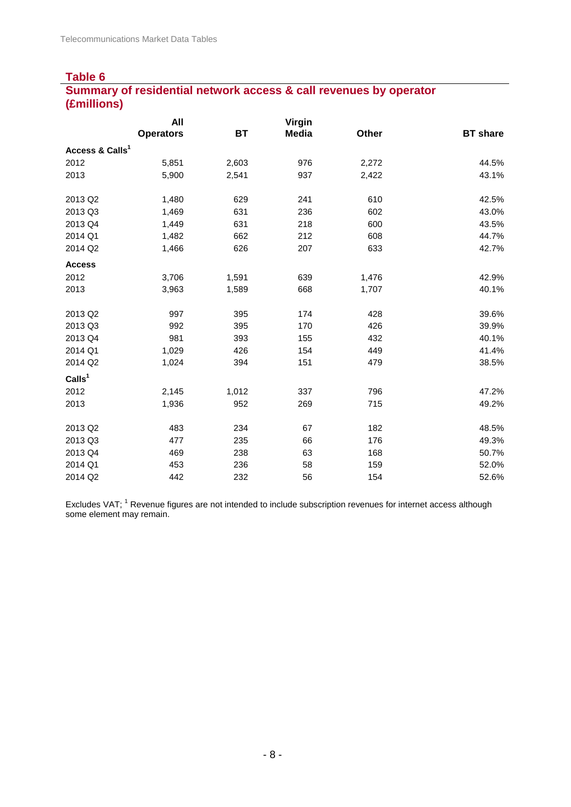### **Table 6 Summary of residential network access & call revenues by operator (£millions)**

|                             | All              |           | <b>Virgin</b> |       |                 |
|-----------------------------|------------------|-----------|---------------|-------|-----------------|
|                             | <b>Operators</b> | <b>BT</b> | <b>Media</b>  | Other | <b>BT</b> share |
| Access & Calls <sup>1</sup> |                  |           |               |       |                 |
| 2012                        | 5,851            | 2,603     | 976           | 2,272 | 44.5%           |
| 2013                        | 5,900            | 2,541     | 937           | 2,422 | 43.1%           |
| 2013 Q2                     | 1,480            | 629       | 241           | 610   | 42.5%           |
| 2013 Q3                     | 1,469            | 631       | 236           | 602   | 43.0%           |
| 2013 Q4                     | 1,449            | 631       | 218           | 600   | 43.5%           |
| 2014 Q1                     | 1,482            | 662       | 212           | 608   | 44.7%           |
| 2014 Q2                     | 1,466            | 626       | 207           | 633   | 42.7%           |
| <b>Access</b>               |                  |           |               |       |                 |
| 2012                        | 3,706            | 1,591     | 639           | 1,476 | 42.9%           |
| 2013                        | 3,963            | 1,589     | 668           | 1,707 | 40.1%           |
| 2013 Q2                     | 997              | 395       | 174           | 428   | 39.6%           |
| 2013 Q3                     | 992              | 395       | 170           | 426   | 39.9%           |
| 2013 Q4                     | 981              | 393       | 155           | 432   | 40.1%           |
| 2014 Q1                     | 1,029            | 426       | 154           | 449   | 41.4%           |
| 2014 Q2                     | 1,024            | 394       | 151           | 479   | 38.5%           |
| Calls <sup>1</sup>          |                  |           |               |       |                 |
| 2012                        | 2,145            | 1,012     | 337           | 796   | 47.2%           |
| 2013                        | 1,936            | 952       | 269           | 715   | 49.2%           |
| 2013 Q2                     | 483              | 234       | 67            | 182   | 48.5%           |
| 2013 Q3                     | 477              | 235       | 66            | 176   | 49.3%           |
| 2013 Q4                     | 469              | 238       | 63            | 168   | 50.7%           |
| 2014 Q1                     | 453              | 236       | 58            | 159   | 52.0%           |
| 2014 Q2                     | 442              | 232       | 56            | 154   | 52.6%           |

Excludes VAT; <sup>1</sup> Revenue figures are not intended to include subscription revenues for internet access although some element may remain.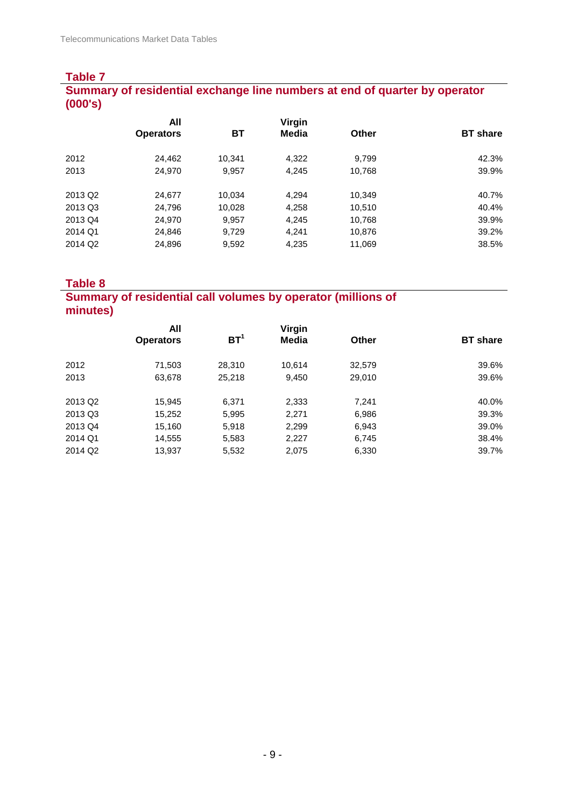#### **Table 7 Summary of residential exchange line numbers at end of quarter by operator (000's)**

|                     | All              |        | Virgin |              |                 |
|---------------------|------------------|--------|--------|--------------|-----------------|
|                     | <b>Operators</b> | ВT     | Media  | <b>Other</b> | <b>BT</b> share |
| 2012                | 24,462           | 10,341 | 4,322  | 9,799        | 42.3%           |
| 2013                | 24,970           | 9,957  | 4.245  | 10.768       | 39.9%           |
| 2013 Q <sub>2</sub> | 24,677           | 10,034 | 4.294  | 10.349       | 40.7%           |
| 2013 Q3             | 24,796           | 10,028 | 4,258  | 10,510       | 40.4%           |
| 2013 Q4             | 24,970           | 9,957  | 4,245  | 10,768       | 39.9%           |
| 2014 Q1             | 24,846           | 9.729  | 4.241  | 10,876       | 39.2%           |
| 2014 Q2             | 24,896           | 9,592  | 4,235  | 11,069       | 38.5%           |

**Table 8**

## **Summary of residential call volumes by operator (millions of minutes)**

|                     | All              |                 | Virgin |        |                 |
|---------------------|------------------|-----------------|--------|--------|-----------------|
|                     | <b>Operators</b> | BT <sup>1</sup> | Media  | Other  | <b>BT</b> share |
| 2012                | 71,503           | 28,310          | 10.614 | 32,579 | 39.6%           |
| 2013                | 63,678           | 25,218          | 9,450  | 29,010 | 39.6%           |
| 2013 Q2             | 15,945           | 6,371           | 2,333  | 7,241  | 40.0%           |
| 2013 Q3             | 15,252           | 5,995           | 2,271  | 6,986  | 39.3%           |
| 2013 Q4             | 15,160           | 5,918           | 2,299  | 6,943  | 39.0%           |
| 2014 Q1             | 14,555           | 5,583           | 2,227  | 6,745  | 38.4%           |
| 2014 Q <sub>2</sub> | 13,937           | 5,532           | 2,075  | 6,330  | 39.7%           |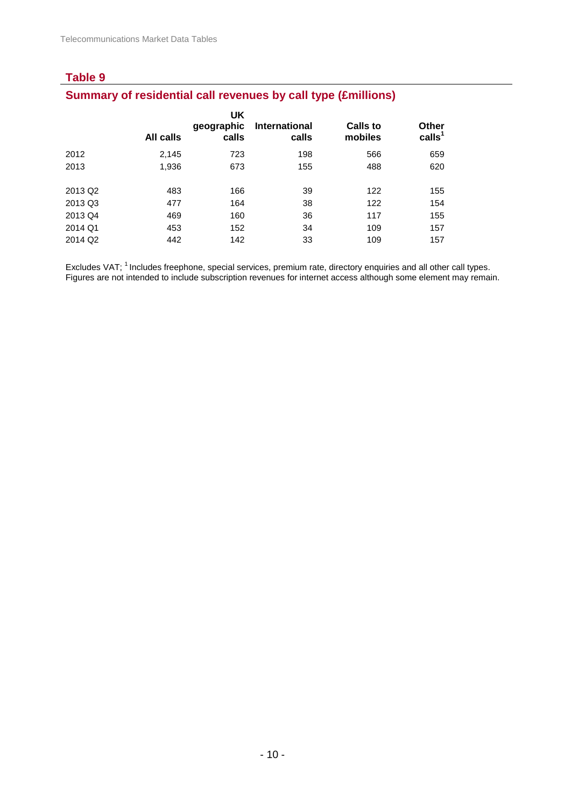# **Summary of residential call revenues by call type (£millions)**

|                     | All calls | UK<br>geographic<br>calls | <b>International</b><br>calls | <b>Calls to</b><br>mobiles | <b>Other</b><br>calls <sup>1</sup> |
|---------------------|-----------|---------------------------|-------------------------------|----------------------------|------------------------------------|
| 2012                | 2,145     | 723                       | 198                           | 566                        | 659                                |
| 2013                | 1,936     | 673                       | 155                           | 488                        | 620                                |
|                     |           |                           |                               |                            |                                    |
| 2013 Q <sub>2</sub> | 483       | 166                       | 39                            | 122                        | 155                                |
| 2013 Q3             | 477       | 164                       | 38                            | 122                        | 154                                |
| 2013 Q4             | 469       | 160                       | 36                            | 117                        | 155                                |
| 2014 Q1             | 453       | 152                       | 34                            | 109                        | 157                                |
| 2014 Q <sub>2</sub> | 442       | 142                       | 33                            | 109                        | 157                                |
|                     |           |                           |                               |                            |                                    |

Excludes VAT; <sup>1</sup> Includes freephone, special services, premium rate, directory enquiries and all other call types. Figures are not intended to include subscription revenues for internet access although some element may remain.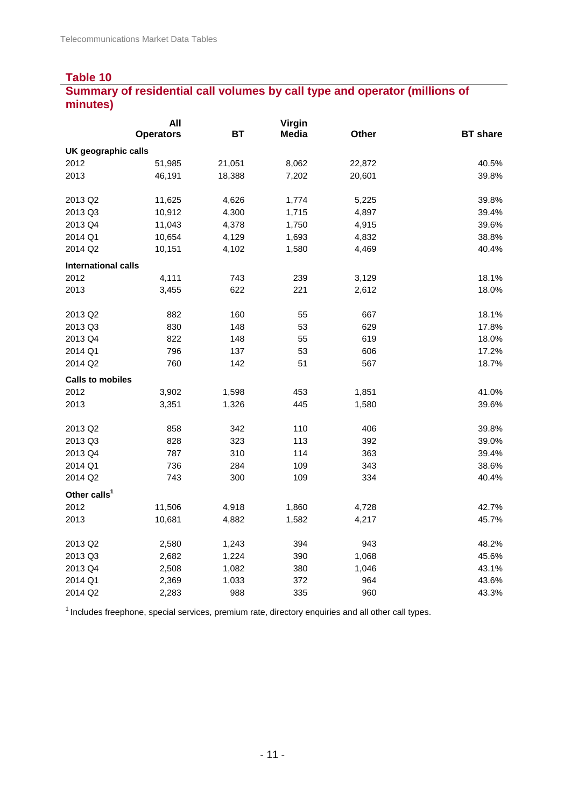# **Summary of residential call volumes by call type and operator (millions of minutes)**

|                            | All              |           | Virgin       |              |                 |
|----------------------------|------------------|-----------|--------------|--------------|-----------------|
|                            | <b>Operators</b> | <b>BT</b> | <b>Media</b> | <b>Other</b> | <b>BT</b> share |
| UK geographic calls        |                  |           |              |              |                 |
| 2012                       | 51,985           | 21,051    | 8,062        | 22,872       | 40.5%           |
| 2013                       | 46,191           | 18,388    | 7,202        | 20,601       | 39.8%           |
| 2013 Q2                    | 11,625           | 4,626     | 1,774        | 5,225        | 39.8%           |
| 2013 Q3                    | 10,912           | 4,300     | 1,715        | 4,897        | 39.4%           |
| 2013 Q4                    | 11,043           | 4,378     | 1,750        | 4,915        | 39.6%           |
| 2014 Q1                    | 10,654           | 4,129     | 1,693        | 4,832        | 38.8%           |
| 2014 Q2                    | 10,151           | 4,102     | 1,580        | 4,469        | 40.4%           |
| <b>International calls</b> |                  |           |              |              |                 |
| 2012                       | 4,111            | 743       | 239          | 3,129        | 18.1%           |
| 2013                       | 3,455            | 622       | 221          | 2,612        | 18.0%           |
| 2013 Q2                    | 882              | 160       | 55           | 667          | 18.1%           |
| 2013 Q3                    | 830              | 148       | 53           | 629          | 17.8%           |
| 2013 Q4                    | 822              | 148       | 55           | 619          | 18.0%           |
| 2014 Q1                    | 796              | 137       | 53           | 606          | 17.2%           |
| 2014 Q2                    | 760              | 142       | 51           | 567          | 18.7%           |
| <b>Calls to mobiles</b>    |                  |           |              |              |                 |
| 2012                       | 3,902            | 1,598     | 453          | 1,851        | 41.0%           |
| 2013                       | 3,351            | 1,326     | 445          | 1,580        | 39.6%           |
| 2013 Q2                    | 858              | 342       | 110          | 406          | 39.8%           |
| 2013 Q3                    | 828              | 323       | 113          | 392          | 39.0%           |
| 2013 Q4                    | 787              | 310       | 114          | 363          | 39.4%           |
| 2014 Q1                    | 736              | 284       | 109          | 343          | 38.6%           |
| 2014 Q2                    | 743              | 300       | 109          | 334          | 40.4%           |
| Other calls <sup>1</sup>   |                  |           |              |              |                 |
| 2012                       | 11,506           | 4,918     | 1,860        | 4,728        | 42.7%           |
| 2013                       | 10,681           | 4,882     | 1,582        | 4,217        | 45.7%           |
| 2013 Q2                    | 2,580            | 1,243     | 394          | 943          | 48.2%           |
| 2013 Q3                    | 2,682            | 1,224     | 390          | 1,068        | 45.6%           |
| 2013 Q4                    | 2,508            | 1,082     | 380          | 1,046        | 43.1%           |
| 2014 Q1                    | 2,369            | 1,033     | 372          | 964          | 43.6%           |
| 2014 Q2                    | 2,283            | 988       | 335          | 960          | 43.3%           |

 $1$  Includes freephone, special services, premium rate, directory enquiries and all other call types.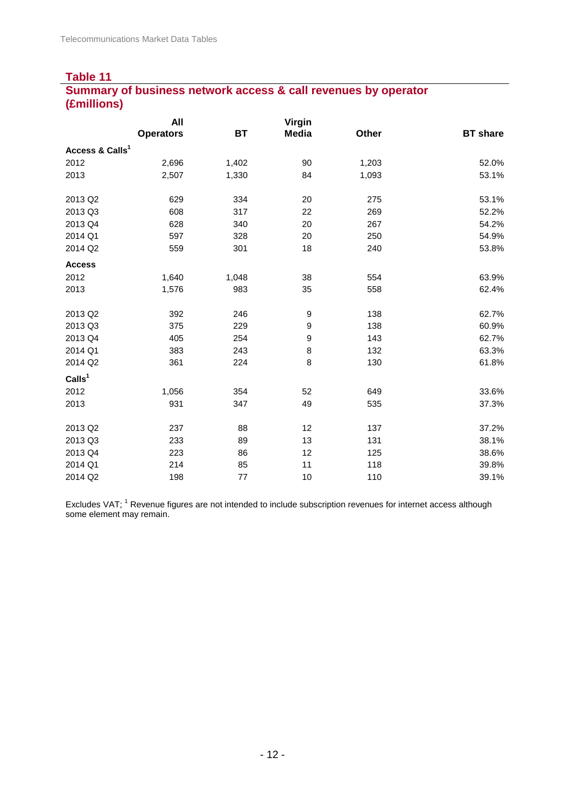## **Table 11 Summary of business network access & call revenues by operator (£millions)**

|                             | All              |       | <b>Virgin</b>    |       |                 |
|-----------------------------|------------------|-------|------------------|-------|-----------------|
|                             | <b>Operators</b> | BT    | <b>Media</b>     | Other | <b>BT</b> share |
| Access & Calls <sup>1</sup> |                  |       |                  |       |                 |
| 2012                        | 2,696            | 1,402 | 90               | 1,203 | 52.0%           |
| 2013                        | 2,507            | 1,330 | 84               | 1,093 | 53.1%           |
| 2013 Q2                     | 629              | 334   | 20               | 275   | 53.1%           |
| 2013 Q3                     | 608              | 317   | 22               | 269   | 52.2%           |
| 2013 Q4                     | 628              | 340   | 20               | 267   | 54.2%           |
| 2014 Q1                     | 597              | 328   | 20               | 250   | 54.9%           |
| 2014 Q2                     | 559              | 301   | 18               | 240   | 53.8%           |
| <b>Access</b>               |                  |       |                  |       |                 |
| 2012                        | 1,640            | 1,048 | 38               | 554   | 63.9%           |
| 2013                        | 1,576            | 983   | 35               | 558   | 62.4%           |
| 2013 Q2                     | 392              | 246   | 9                | 138   | 62.7%           |
| 2013 Q3                     | 375              | 229   | 9                | 138   | 60.9%           |
| 2013 Q4                     | 405              | 254   | $\boldsymbol{9}$ | 143   | 62.7%           |
| 2014 Q1                     | 383              | 243   | 8                | 132   | 63.3%           |
| 2014 Q2                     | 361              | 224   | 8                | 130   | 61.8%           |
| CalIs <sup>1</sup>          |                  |       |                  |       |                 |
| 2012                        | 1,056            | 354   | 52               | 649   | 33.6%           |
| 2013                        | 931              | 347   | 49               | 535   | 37.3%           |
| 2013 Q2                     | 237              | 88    | 12               | 137   | 37.2%           |
| 2013 Q3                     | 233              | 89    | 13               | 131   | 38.1%           |
| 2013 Q4                     | 223              | 86    | 12               | 125   | 38.6%           |
| 2014 Q1                     | 214              | 85    | 11               | 118   | 39.8%           |
| 2014 Q2                     | 198              | 77    | 10               | 110   | 39.1%           |

Excludes VAT; <sup>1</sup> Revenue figures are not intended to include subscription revenues for internet access although some element may remain.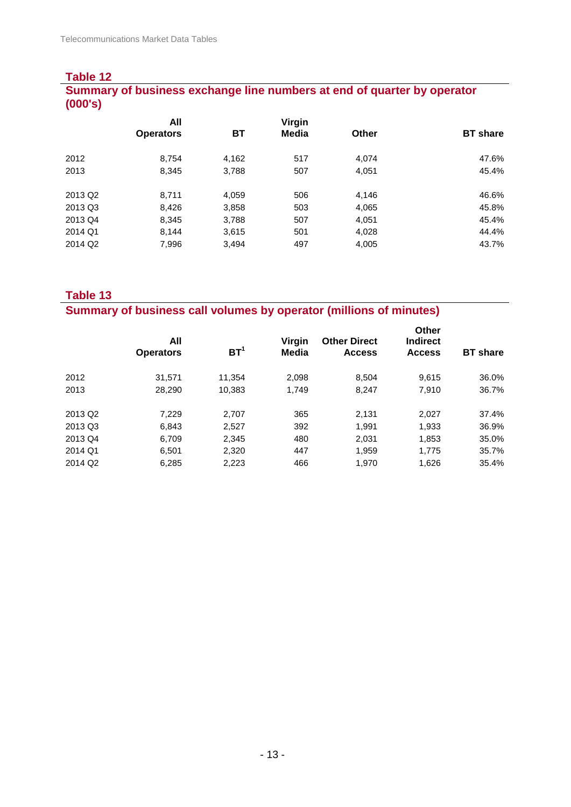### **Table 12 Summary of business exchange line numbers at end of quarter by operator (000's)**

|                     | All              |       | Virgin |              |                 |
|---------------------|------------------|-------|--------|--------------|-----------------|
|                     | <b>Operators</b> | ВT    | Media  | <b>Other</b> | <b>BT</b> share |
| 2012                | 8,754            | 4,162 | 517    | 4,074        | 47.6%           |
| 2013                | 8,345            | 3,788 | 507    | 4,051        | 45.4%           |
| 2013 Q2             | 8,711            | 4,059 | 506    | 4,146        | 46.6%           |
| 2013 Q3             | 8,426            | 3,858 | 503    | 4,065        | 45.8%           |
| 2013 Q4             | 8,345            | 3,788 | 507    | 4,051        | 45.4%           |
| 2014 Q1             | 8,144            | 3,615 | 501    | 4,028        | 44.4%           |
| 2014 Q <sub>2</sub> | 7,996            | 3,494 | 497    | 4,005        | 43.7%           |

**Table 13**

**Summary of business call volumes by operator (millions of minutes)**

|                     | All<br><b>Operators</b> | BT <sup>1</sup> | Virgin<br>Media | <b>Other Direct</b><br><b>Access</b> | <b>Other</b><br><b>Indirect</b><br><b>Access</b> | <b>BT</b> share |
|---------------------|-------------------------|-----------------|-----------------|--------------------------------------|--------------------------------------------------|-----------------|
| 2012                | 31.571                  | 11,354          | 2,098           | 8.504                                | 9.615                                            | 36.0%           |
| 2013                | 28,290                  | 10,383          | 1,749           | 8.247                                | 7,910                                            | 36.7%           |
| 2013 Q2             | 7,229                   | 2,707           | 365             | 2,131                                | 2,027                                            | 37.4%           |
| 2013 Q3             | 6,843                   | 2,527           | 392             | 1,991                                | 1,933                                            | 36.9%           |
| 2013 Q4             | 6,709                   | 2,345           | 480             | 2,031                                | 1,853                                            | 35.0%           |
| 2014 Q1             | 6,501                   | 2,320           | 447             | 1.959                                | 1,775                                            | 35.7%           |
| 2014 Q <sub>2</sub> | 6,285                   | 2,223           | 466             | 1.970                                | 1,626                                            | 35.4%           |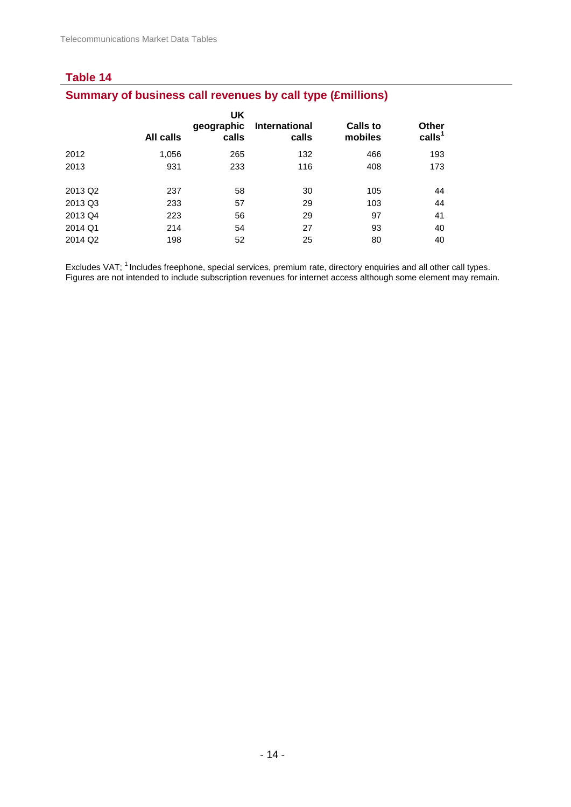# **Summary of business call revenues by call type (£millions)**

|                     | All calls | UK<br>geographic<br>calls | International<br>calls | <b>Calls to</b><br>mobiles | <b>Other</b><br>calls <sup>1</sup> |
|---------------------|-----------|---------------------------|------------------------|----------------------------|------------------------------------|
| 2012                | 1,056     | 265                       | 132                    | 466                        | 193                                |
| 2013                | 931       | 233                       | 116                    | 408                        | 173                                |
|                     |           |                           |                        |                            |                                    |
| 2013 Q2             | 237       | 58                        | 30                     | 105                        | 44                                 |
| 2013 Q3             | 233       | 57                        | 29                     | 103                        | 44                                 |
| 2013 Q4             | 223       | 56                        | 29                     | 97                         | 41                                 |
| 2014 Q1             | 214       | 54                        | 27                     | 93                         | 40                                 |
| 2014 Q <sub>2</sub> | 198       | 52                        | 25                     | 80                         | 40                                 |
|                     |           |                           |                        |                            |                                    |

Excludes VAT; <sup>1</sup> Includes freephone, special services, premium rate, directory enquiries and all other call types. Figures are not intended to include subscription revenues for internet access although some element may remain.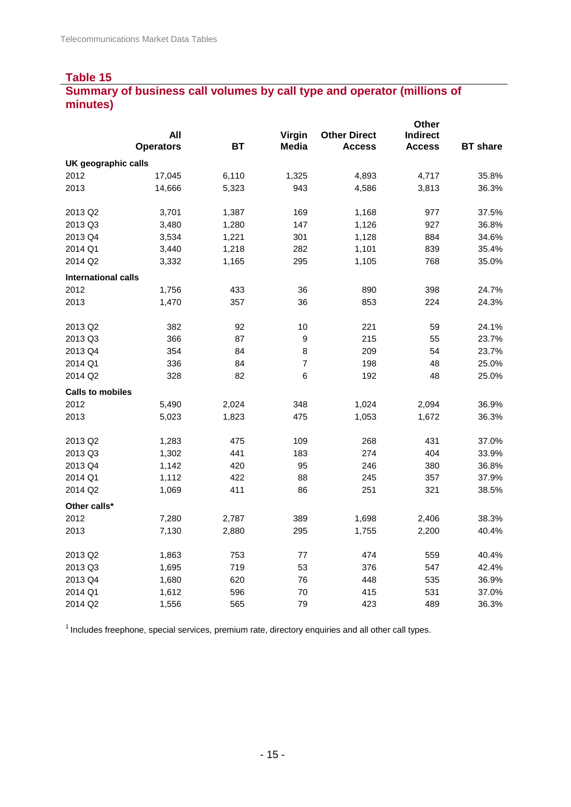# **Summary of business call volumes by call type and operator (millions of minutes)**

|                            |                  |           |                |                     | Other           |                 |
|----------------------------|------------------|-----------|----------------|---------------------|-----------------|-----------------|
|                            | All              |           | Virgin         | <b>Other Direct</b> | <b>Indirect</b> |                 |
|                            | <b>Operators</b> | <b>BT</b> | <b>Media</b>   | <b>Access</b>       | <b>Access</b>   | <b>BT</b> share |
| UK geographic calls        |                  |           |                |                     |                 |                 |
| 2012                       | 17,045           | 6,110     | 1,325          | 4,893               | 4,717           | 35.8%           |
| 2013                       | 14,666           | 5,323     | 943            | 4,586               | 3,813           | 36.3%           |
| 2013 Q2                    | 3,701            | 1,387     | 169            | 1,168               | 977             | 37.5%           |
| 2013 Q3                    | 3,480            | 1,280     | 147            | 1,126               | 927             | 36.8%           |
| 2013 Q4                    | 3,534            | 1,221     | 301            | 1,128               | 884             | 34.6%           |
| 2014 Q1                    | 3,440            | 1,218     | 282            | 1,101               | 839             | 35.4%           |
| 2014 Q2                    | 3,332            | 1,165     | 295            | 1,105               | 768             | 35.0%           |
| <b>International calls</b> |                  |           |                |                     |                 |                 |
| 2012                       | 1,756            | 433       | 36             | 890                 | 398             | 24.7%           |
| 2013                       | 1,470            | 357       | 36             | 853                 | 224             | 24.3%           |
| 2013 Q2                    | 382              | 92        | 10             | 221                 | 59              | 24.1%           |
| 2013 Q3                    | 366              | 87        | $\mathsf g$    | 215                 | 55              | 23.7%           |
| 2013 Q4                    | 354              | 84        | 8              | 209                 | 54              | 23.7%           |
| 2014 Q1                    | 336              | 84        | $\overline{7}$ | 198                 | 48              | 25.0%           |
| 2014 Q2                    | 328              | 82        | 6              | 192                 | 48              | 25.0%           |
| <b>Calls to mobiles</b>    |                  |           |                |                     |                 |                 |
| 2012                       | 5,490            | 2,024     | 348            | 1,024               | 2,094           | 36.9%           |
| 2013                       | 5,023            | 1,823     | 475            | 1,053               | 1,672           | 36.3%           |
| 2013 Q2                    | 1,283            | 475       | 109            | 268                 | 431             | 37.0%           |
| 2013 Q3                    | 1,302            | 441       | 183            | 274                 | 404             | 33.9%           |
| 2013 Q4                    | 1,142            | 420       | 95             | 246                 | 380             | 36.8%           |
| 2014 Q1                    | 1,112            | 422       | 88             | 245                 | 357             | 37.9%           |
| 2014 Q2                    | 1,069            | 411       | 86             | 251                 | 321             | 38.5%           |
| Other calls*               |                  |           |                |                     |                 |                 |
| 2012                       | 7,280            | 2,787     | 389            | 1,698               | 2,406           | 38.3%           |
| 2013                       | 7,130            | 2,880     | 295            | 1,755               | 2,200           | 40.4%           |
| 2013 Q2                    | 1,863            | 753       | 77             | 474                 | 559             | 40.4%           |
| 2013 Q3                    | 1,695            | 719       | 53             | 376                 | 547             | 42.4%           |
| 2013 Q4                    | 1,680            | 620       | 76             | 448                 | 535             | 36.9%           |
| 2014 Q1                    | 1,612            | 596       | 70             | 415                 | 531             | 37.0%           |
| 2014 Q2                    | 1,556            | 565       | 79             | 423                 | 489             | 36.3%           |

 $1$  Includes freephone, special services, premium rate, directory enquiries and all other call types.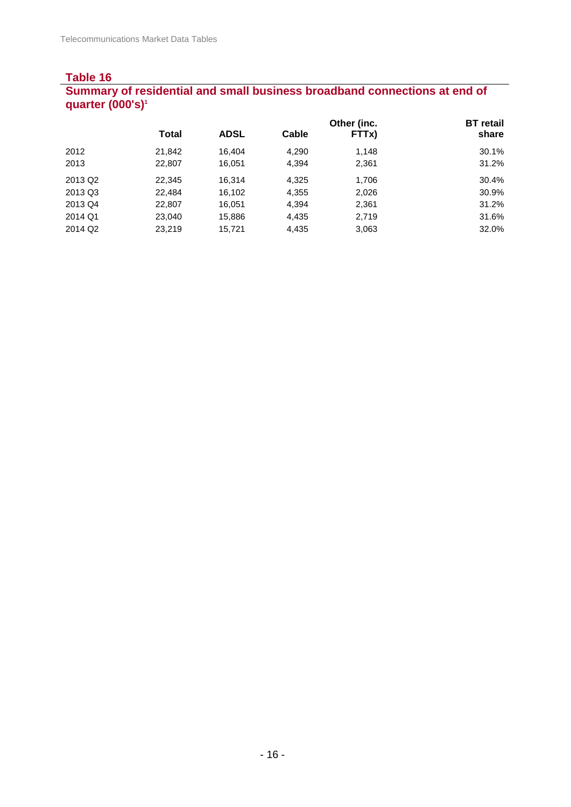### **Table 16 Summary of residential and small business broadband connections at end of quarter (000's)1**

|                     |              |             |       | Other (inc. | <b>BT</b> retail |
|---------------------|--------------|-------------|-------|-------------|------------------|
|                     | <b>Total</b> | <b>ADSL</b> | Cable | FTTx)       | share            |
| 2012                | 21,842       | 16.404      | 4,290 | 1,148       | 30.1%            |
| 2013                | 22,807       | 16,051      | 4,394 | 2,361       | 31.2%            |
| 2013 Q <sub>2</sub> | 22,345       | 16.314      | 4,325 | 1,706       | 30.4%            |
| 2013 Q3             | 22.484       | 16,102      | 4,355 | 2,026       | 30.9%            |
| 2013 Q4             | 22,807       | 16,051      | 4,394 | 2,361       | 31.2%            |
| 2014 Q1             | 23,040       | 15,886      | 4,435 | 2,719       | 31.6%            |
| 2014 Q2             | 23,219       | 15,721      | 4,435 | 3,063       | 32.0%            |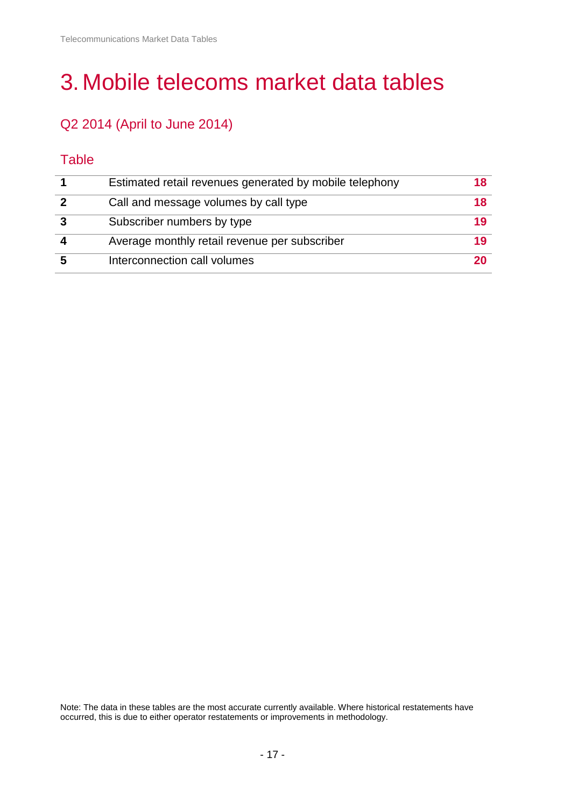# 3.Mobile telecoms market data tables

# Q2 2014 (April to June 2014)

# **Table**

| Estimated retail revenues generated by mobile telephony | 18 |
|---------------------------------------------------------|----|
| Call and message volumes by call type                   | 18 |
| Subscriber numbers by type                              | 19 |
| Average monthly retail revenue per subscriber           | 19 |
| Interconnection call volumes                            | 20 |

Note: The data in these tables are the most accurate currently available. Where historical restatements have occurred, this is due to either operator restatements or improvements in methodology.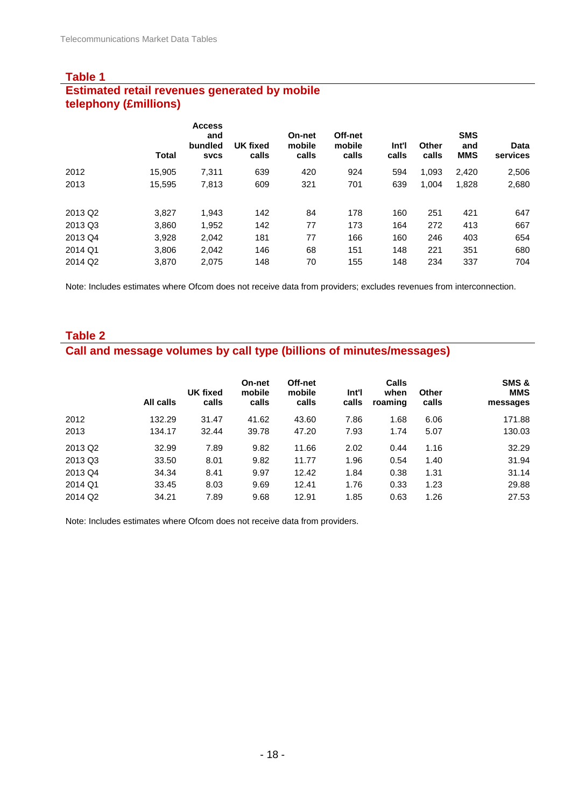#### **Table 1 Estimated retail revenues generated by mobile telephony (£millions)**

|                     | <b>Total</b> | <b>Access</b><br>and<br>bundled<br><b>SVCS</b> | <b>UK fixed</b><br>calls | <b>On-net</b><br>mobile<br>calls | Off-net<br>mobile<br>calls | Int'l<br>calls | Other<br>calls | <b>SMS</b><br>and<br><b>MMS</b> | <b>Data</b><br>services |
|---------------------|--------------|------------------------------------------------|--------------------------|----------------------------------|----------------------------|----------------|----------------|---------------------------------|-------------------------|
| 2012                | 15.905       | 7,311                                          | 639                      | 420                              | 924                        | 594            | 1.093          | 2,420                           | 2,506                   |
| 2013                | 15,595       | 7,813                                          | 609                      | 321                              | 701                        | 639            | 1,004          | 1,828                           | 2,680                   |
| 2013 Q <sub>2</sub> | 3,827        | 1,943                                          | 142                      | 84                               | 178                        | 160            | 251            | 421                             | 647                     |
| 2013 Q3             | 3,860        | 1,952                                          | 142                      | 77                               | 173                        | 164            | 272            | 413                             | 667                     |
| 2013 Q4             | 3,928        | 2,042                                          | 181                      | 77                               | 166                        | 160            | 246            | 403                             | 654                     |
| 2014 Q1             | 3,806        | 2,042                                          | 146                      | 68                               | 151                        | 148            | 221            | 351                             | 680                     |
| 2014 Q <sub>2</sub> | 3.870        | 2.075                                          | 148                      | 70                               | 155                        | 148            | 234            | 337                             | 704                     |

Note: Includes estimates where Ofcom does not receive data from providers; excludes revenues from interconnection.

### **Table 2**

# **Call and message volumes by call type (billions of minutes/messages)**

|                     | All calls | <b>UK fixed</b><br>calls | On-net<br>mobile<br>calls | Off-net<br>mobile<br>calls | Int'l<br>calls | Calls<br>when<br>roaming | <b>Other</b><br>calls | SMS&<br><b>MMS</b><br>messages |
|---------------------|-----------|--------------------------|---------------------------|----------------------------|----------------|--------------------------|-----------------------|--------------------------------|
| 2012                | 132.29    | 31.47                    | 41.62                     | 43.60                      | 7.86           | 1.68                     | 6.06                  | 171.88                         |
| 2013                | 134.17    | 32.44                    | 39.78                     | 47.20                      | 7.93           | 1.74                     | 5.07                  | 130.03                         |
| 2013 Q2             | 32.99     | 7.89                     | 9.82                      | 11.66                      | 2.02           | 0.44                     | 1.16                  | 32.29                          |
| 2013 Q3             | 33.50     | 8.01                     | 9.82                      | 11.77                      | 1.96           | 0.54                     | 1.40                  | 31.94                          |
| 2013 Q4             | 34.34     | 8.41                     | 9.97                      | 12.42                      | 1.84           | 0.38                     | 1.31                  | 31.14                          |
| 2014 Q1             | 33.45     | 8.03                     | 9.69                      | 12.41                      | 1.76           | 0.33                     | 1.23                  | 29.88                          |
| 2014 Q <sub>2</sub> | 34.21     | 7.89                     | 9.68                      | 12.91                      | 1.85           | 0.63                     | 1.26                  | 27.53                          |

Note: Includes estimates where Ofcom does not receive data from providers.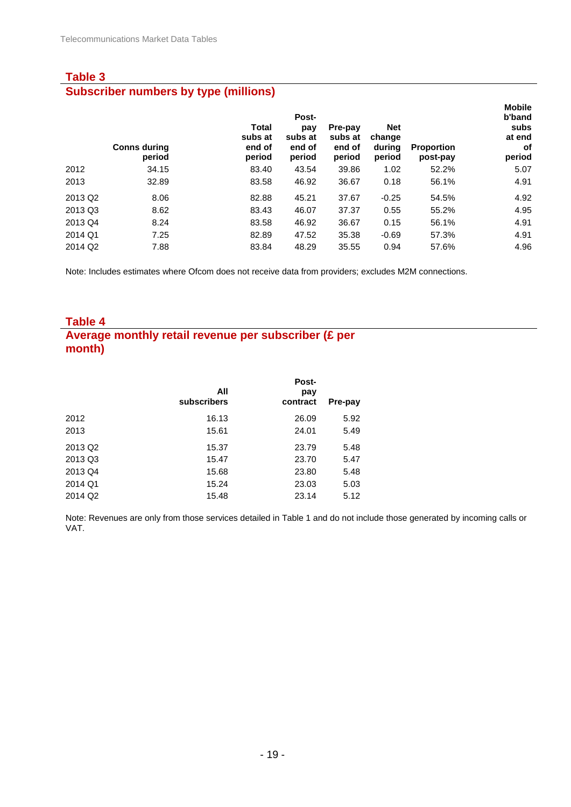### **Table 3 Subscriber numbers by type (millions)**

|                     | <b>Conns during</b><br>period | <b>Total</b><br>subs at<br>end of<br>period | Post-<br>pay<br>subs at<br>end of<br>period | Pre-pay<br>subs at<br>end of<br>period | <b>Net</b><br>change<br>during<br>period | <b>Proportion</b><br>post-pay | <b>Mobile</b><br>b'band<br>subs<br>at end<br>оf<br>period |
|---------------------|-------------------------------|---------------------------------------------|---------------------------------------------|----------------------------------------|------------------------------------------|-------------------------------|-----------------------------------------------------------|
| 2012                | 34.15                         | 83.40                                       | 43.54                                       | 39.86                                  | 1.02                                     | 52.2%                         | 5.07                                                      |
| 2013                | 32.89                         | 83.58                                       | 46.92                                       | 36.67                                  | 0.18                                     | 56.1%                         | 4.91                                                      |
| 2013 Q2             | 8.06                          | 82.88                                       | 45.21                                       | 37.67                                  | $-0.25$                                  | 54.5%                         | 4.92                                                      |
| 2013 Q3             | 8.62                          | 83.43                                       | 46.07                                       | 37.37                                  | 0.55                                     | 55.2%                         | 4.95                                                      |
| 2013 Q4             | 8.24                          | 83.58                                       | 46.92                                       | 36.67                                  | 0.15                                     | 56.1%                         | 4.91                                                      |
| 2014 Q1             | 7.25                          | 82.89                                       | 47.52                                       | 35.38                                  | $-0.69$                                  | 57.3%                         | 4.91                                                      |
| 2014 Q <sub>2</sub> | 7.88                          | 83.84                                       | 48.29                                       | 35.55                                  | 0.94                                     | 57.6%                         | 4.96                                                      |

Note: Includes estimates where Ofcom does not receive data from providers; excludes M2M connections.

#### **Table 4**

# **Average monthly retail revenue per subscriber (£ per month)**

|                     | All<br>subscribers | Post-<br>pay<br>contract | Pre-pay |
|---------------------|--------------------|--------------------------|---------|
| 2012                | 16.13              | 26.09                    | 5.92    |
| 2013                | 15.61              | 24.01                    | 5.49    |
| 2013 Q <sub>2</sub> | 15.37              | 23.79                    | 5.48    |
| 2013 Q3             | 15.47              | 23.70                    | 5.47    |
| 2013 Q4             | 15.68              | 23.80                    | 5.48    |
| 2014 Q1             | 15.24              | 23.03                    | 5.03    |
| 2014 Q <sub>2</sub> | 15.48              | 23.14                    | 5.12    |

Note: Revenues are only from those services detailed in Table 1 and do not include those generated by incoming calls or VAT.